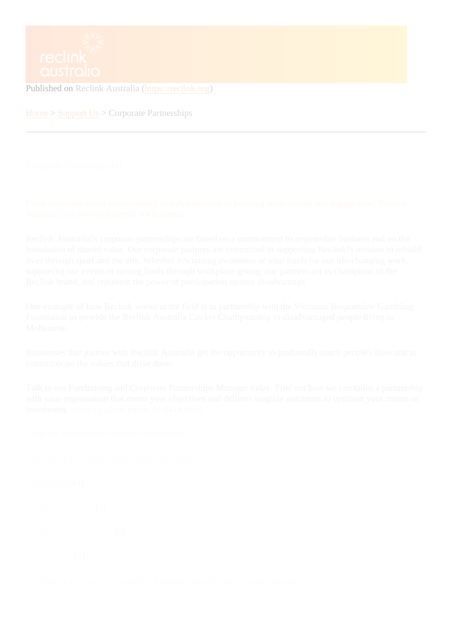Published on Reclink Australia (https://reclink.org)

Home > Support Us Corporate Partnerships

Corporate Partnerships

[From corporate socia](https://reclink.org/support-us/corporate-partnerships)l responsibility and philanthropy to boosting team morale and engagement, Reclink Australia is a powerful partner for business.

Reclink Australia?s corporate partnerships are based on a commitment to responsible business and on the foundation of shared value. Our corporate partners are committed to supporting Reclink?s mission to rebuild lives through sport and the arts. Whether it?s raising awareness or vital funds for our life-changing work, supporting our events or raising funds through workplace giving, our partners act as champions of the Reclink brand, and represent the power of participation against disadvantage.

One example of how Reclink works in the field is in partnership with the Victorian Responsible Gambling Foundation to provide the Reclink Australia Cricket Championship to disadvantaged people living in Melbourne.

Businesses that partner with Reclink Australia get the opportunity to profoundly touch people's lives and to communicate the values that drive them.

Talk to our Fundraising and Corporate Partnerships Manager today. Find out how we can tailor a partnership with your organisation that meets your objectives and delivers tangible outcomes to optimise your return on  $investment$ *Email us*[2] or phone 03 9419 6672.

Click the links below for more information:

Benefits of a Corporate Partnership with Reclork

Sponsorship<sup>4</sup>]

Workplace Giving<sup>[5]</sup>

Corporate Volunteering[6]

Our Partner<sub>\$7</sub>]

We believe everyone has a right to a positive identity and a social network.